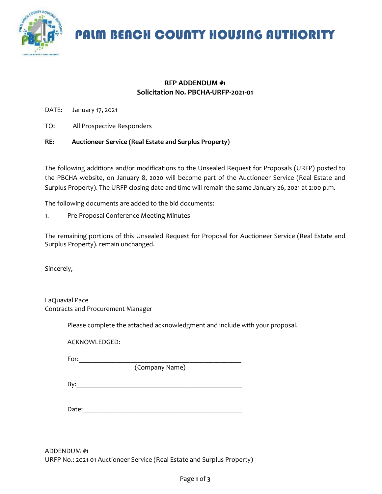

PALM BEACH COUNTY HOUSING AUTHORITY

### **RFP ADDENDUM #1 Solicitation No. PBCHA-URFP-2021-01**

DATE: January 17, 2021

TO: All Prospective Responders

#### **RE: Auctioneer Service (Real Estate and Surplus Property)**

The following additions and/or modifications to the Unsealed Request for Proposals (URFP) posted to the PBCHA website, on January 8, 2020 will become part of the Auctioneer Service (Real Estate and Surplus Property). The URFP closing date and time will remain the same January 26, 2021 at 2:00 p.m.

The following documents are added to the bid documents:

1. Pre-Proposal Conference Meeting Minutes

The remaining portions of this Unsealed Request for Proposal for Auctioneer Service (Real Estate and Surplus Property). remain unchanged.

Sincerely,

LaQuavial Pace Contracts and Procurement Manager

Please complete the attached acknowledgment and include with your proposal.

ACKNOWLEDGED:

For:\_\_\_\_\_\_\_\_\_\_\_\_\_\_\_\_\_\_\_\_\_\_\_\_\_\_\_\_\_\_\_\_\_\_\_\_\_\_\_\_\_\_\_\_\_\_\_

(Company Name)

 $\mathsf{By:}\qquad \qquad \blacksquare$ 

Date:

ADDENDUM #1 URFP No.: 2021-01 Auctioneer Service (Real Estate and Surplus Property)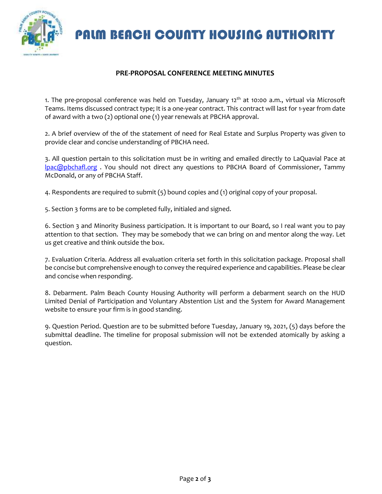PALM BEACH COUNTY HOUSING AUTHORITY



## **PRE-PROPOSAL CONFERENCE MEETING MINUTES**

1. The pre-proposal conference was held on Tuesday, January 12<sup>th</sup> at 10:00 a.m., virtual via Microsoft Teams. Items discussed contract type; It is a one-year contract. This contract will last for 1-year from date of award with a two (2) optional one (1) year renewals at PBCHA approval.

2. A brief overview of the of the statement of need for Real Estate and Surplus Property was given to provide clear and concise understanding of PBCHA need.

3. All question pertain to this solicitation must be in writing and emailed directly to LaQuavial Pace at [lpac@pbchafl.org](mailto:lpac@pbchafl.org) . You should not direct any questions to PBCHA Board of Commissioner, Tammy McDonald, or any of PBCHA Staff.

4. Respondents are required to submit (5) bound copies and (1) original copy of your proposal.

5. Section 3 forms are to be completed fully, initialed and signed.

6. Section 3 and Minority Business participation. It is important to our Board, so I real want you to pay attention to that section. They may be somebody that we can bring on and mentor along the way. Let us get creative and think outside the box.

7. Evaluation Criteria. Address all evaluation criteria set forth in this solicitation package. Proposal shall be concise but comprehensive enough to convey the required experience and capabilities. Please be clear and concise when responding.

8. Debarment. Palm Beach County Housing Authority will perform a debarment search on the HUD Limited Denial of Participation and Voluntary Abstention List and the System for Award Management website to ensure your firm is in good standing.

9. Question Period. Question are to be submitted before Tuesday, January 19, 2021, (5) days before the submittal deadline. The timeline for proposal submission will not be extended atomically by asking a question.